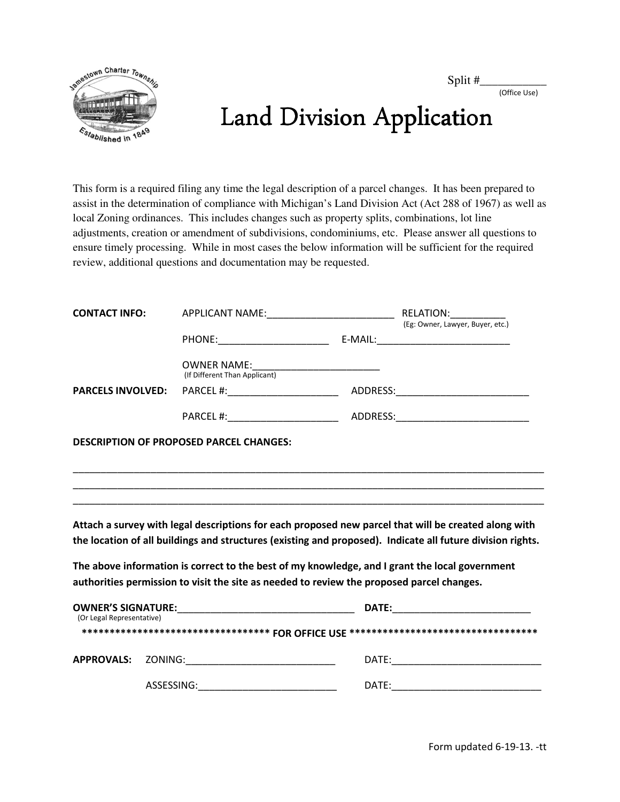Split #\_\_\_\_\_\_\_\_\_\_\_

(Office Use)



## Land Division Application

This form is a required filing any time the legal description of a parcel changes. It has been prepared to assist in the determination of compliance with Michigan's Land Division Act (Act 288 of 1967) as well as local Zoning ordinances. This includes changes such as property splits, combinations, lot line adjustments, creation or amendment of subdivisions, condominiums, etc. Please answer all questions to ensure timely processing. While in most cases the below information will be sufficient for the required review, additional questions and documentation may be requested.

| <b>CONTACT INFO:</b>      |  |                                                                                                                                                                                             |                                                                                                            |
|---------------------------|--|---------------------------------------------------------------------------------------------------------------------------------------------------------------------------------------------|------------------------------------------------------------------------------------------------------------|
|                           |  |                                                                                                                                                                                             |                                                                                                            |
|                           |  | OWNER NAME:<br>(If Different Than Applicant)                                                                                                                                                |                                                                                                            |
| <b>PARCELS INVOLVED:</b>  |  |                                                                                                                                                                                             |                                                                                                            |
|                           |  |                                                                                                                                                                                             |                                                                                                            |
|                           |  | <b>DESCRIPTION OF PROPOSED PARCEL CHANGES:</b>                                                                                                                                              |                                                                                                            |
|                           |  |                                                                                                                                                                                             |                                                                                                            |
|                           |  |                                                                                                                                                                                             |                                                                                                            |
|                           |  |                                                                                                                                                                                             | Attach a survey with legal descriptions for each proposed new parcel that will be created along with       |
|                           |  |                                                                                                                                                                                             | the location of all buildings and structures (existing and proposed). Indicate all future division rights. |
|                           |  | The above information is correct to the best of my knowledge, and I grant the local government<br>authorities permission to visit the site as needed to review the proposed parcel changes. |                                                                                                            |
| (Or Legal Representative) |  |                                                                                                                                                                                             |                                                                                                            |
|                           |  |                                                                                                                                                                                             | ********************************** FOR OFFICE USE ********************************                         |
|                           |  | APPROVALS: ZONING:______________________________                                                                                                                                            |                                                                                                            |
|                           |  | ASSESSING:________________________________                                                                                                                                                  |                                                                                                            |